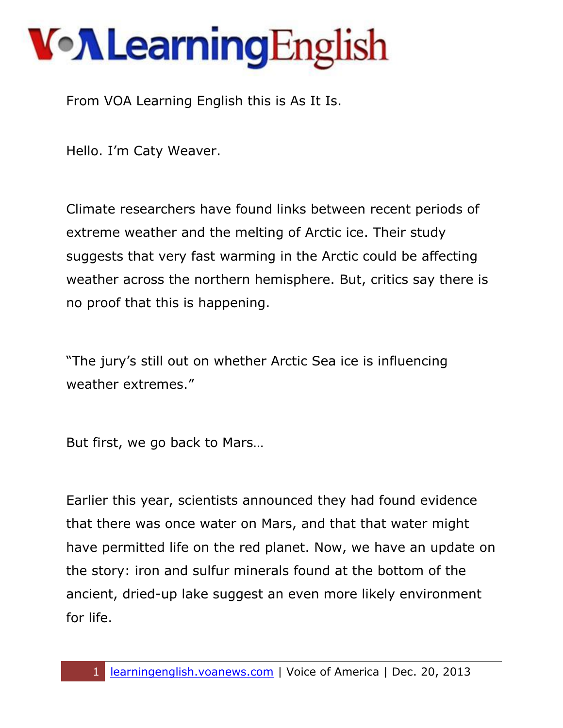From VOA Learning English this is As It Is.

Hello. I'm Caty Weaver.

Climate researchers have found links between recent periods of extreme weather and the melting of Arctic ice. Their study suggests that very fast warming in the Arctic could be affecting weather across the northern hemisphere. But, critics say there is no proof that this is happening.

"The jury's still out on whether Arctic Sea ice is influencing weather extremes."

But first, we go back to Mars…

Earlier this year, scientists announced they had found evidence that there was once water on Mars, and that that water might have permitted life on the red planet. Now, we have an update on the story: iron and sulfur minerals found at the bottom of the ancient, dried-up lake suggest an even more likely environment for life.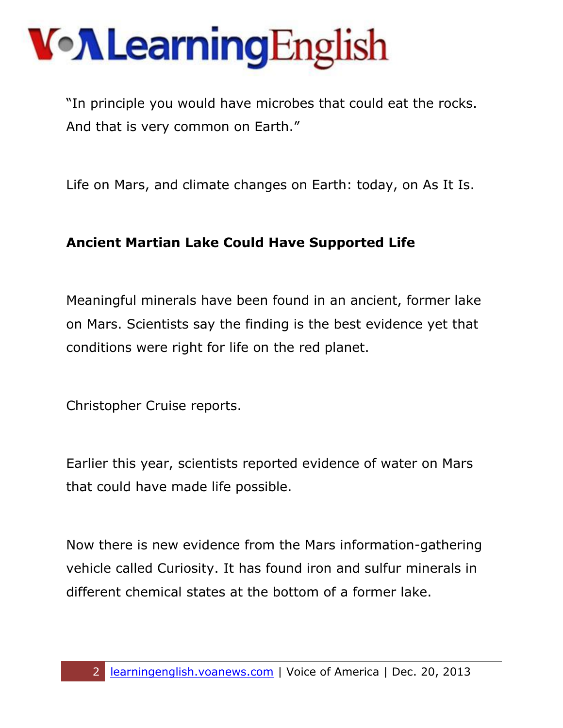"In principle you would have microbes that could eat the rocks. And that is very common on Earth."

Life on Mars, and climate changes on Earth: today, on As It Is.

#### **Ancient Martian Lake Could Have Supported Life**

Meaningful minerals have been found in an ancient, former lake on Mars. Scientists say the finding is the best evidence yet that conditions were right for life on the red planet.

Christopher Cruise reports.

Earlier this year, scientists reported evidence of water on Mars that could have made life possible.

Now there is new evidence from the Mars information-gathering vehicle called Curiosity. It has found iron and sulfur minerals in different chemical states at the bottom of a former lake.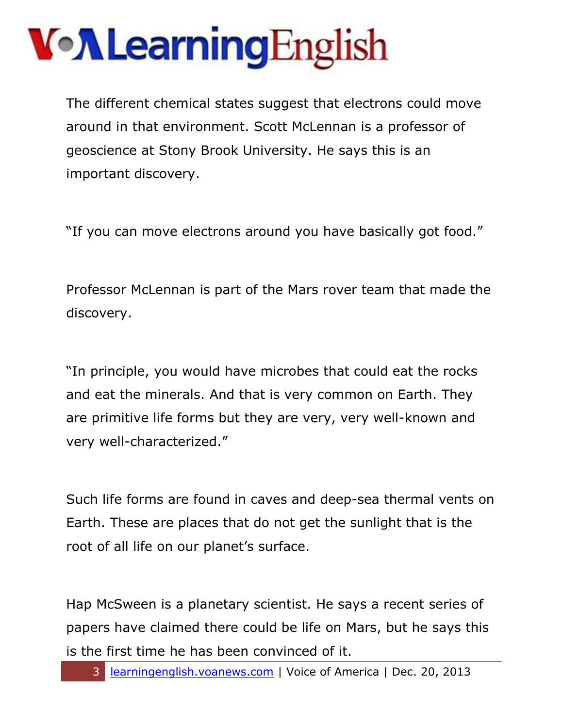The different chemical states suggest that electrons could move around in that environment. Scott McLennan is a professor of geoscience at Stony Brook University. He says this is an important discovery.

"If you can move electrons around you have basically got food."

Professor McLennan is part of the Mars rover team that made the discovery.

"In principle, you would have microbes that could eat the rocks and eat the minerals. And that is very common on Earth. They are primitive life forms but they are very, very well-known and very well-characterized."

Such life forms are found in caves and deep-sea thermal vents on Earth. These are places that do not get the sunlight that is the root of all life on our planet's surface.

Hap McSween is a planetary scientist. He says a recent series of papers have claimed there could be life on Mars, but he says this is the first time he has been convinced of it.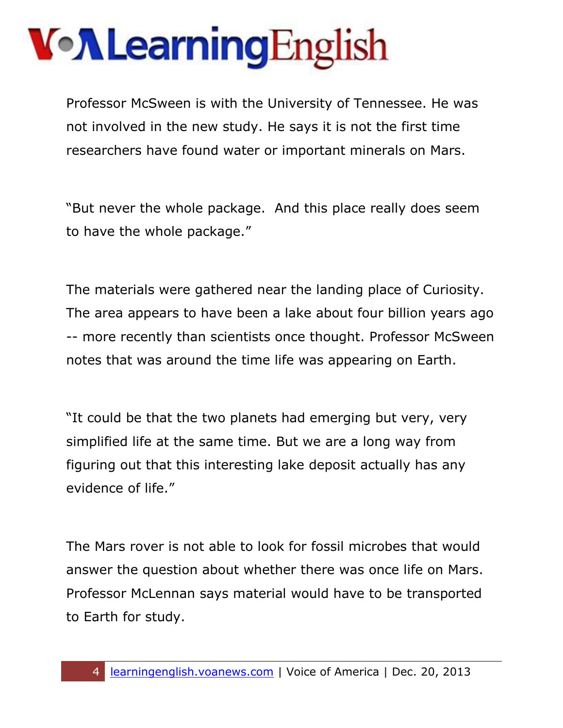Professor McSween is with the University of Tennessee. He was not involved in the new study. He says it is not the first time researchers have found water or important minerals on Mars.

"But never the whole package. And this place really does seem to have the whole package."

The materials were gathered near the landing place of Curiosity. The area appears to have been a lake about four billion years ago -- more recently than scientists once thought. Professor McSween notes that was around the time life was appearing on Earth.

"It could be that the two planets had emerging but very, very simplified life at the same time. But we are a long way from figuring out that this interesting lake deposit actually has any evidence of life."

The Mars rover is not able to look for fossil microbes that would answer the question about whether there was once life on Mars. Professor McLennan says material would have to be transported to Earth for study.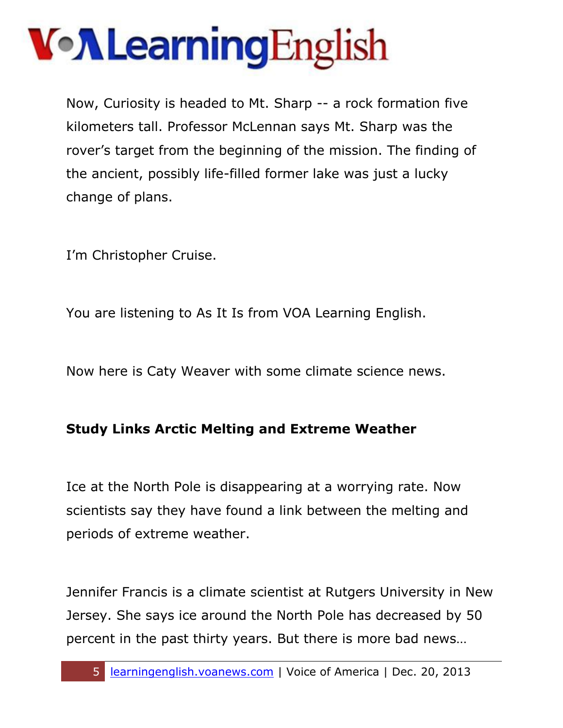Now, Curiosity is headed to Mt. Sharp -- a rock formation five kilometers tall. Professor McLennan says Mt. Sharp was the rover's target from the beginning of the mission. The finding of the ancient, possibly life-filled former lake was just a lucky change of plans.

I'm Christopher Cruise.

You are listening to As It Is from VOA Learning English.

Now here is Caty Weaver with some climate science news.

#### **Study Links Arctic Melting and Extreme Weather**

Ice at the North Pole is disappearing at a worrying rate. Now scientists say they have found a link between the melting and periods of extreme weather.

Jennifer Francis is a climate scientist at Rutgers University in New Jersey. She says ice around the North Pole has decreased by 50 percent in the past thirty years. But there is more bad news…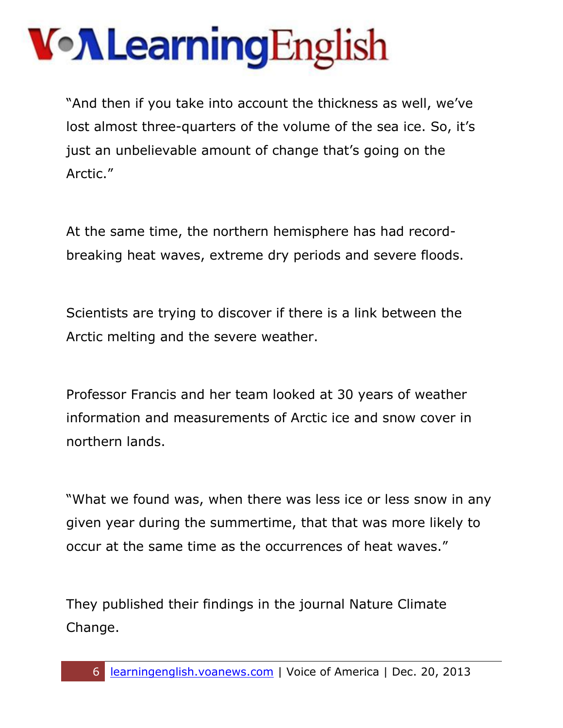"And then if you take into account the thickness as well, we've lost almost three-quarters of the volume of the sea ice. So, it's just an unbelievable amount of change that's going on the Arctic."

At the same time, the northern hemisphere has had recordbreaking heat waves, extreme dry periods and severe floods.

Scientists are trying to discover if there is a link between the Arctic melting and the severe weather.

Professor Francis and her team looked at 30 years of weather information and measurements of Arctic ice and snow cover in northern lands.

"What we found was, when there was less ice or less snow in any given year during the summertime, that that was more likely to occur at the same time as the occurrences of heat waves."

They published their findings in the journal Nature Climate Change.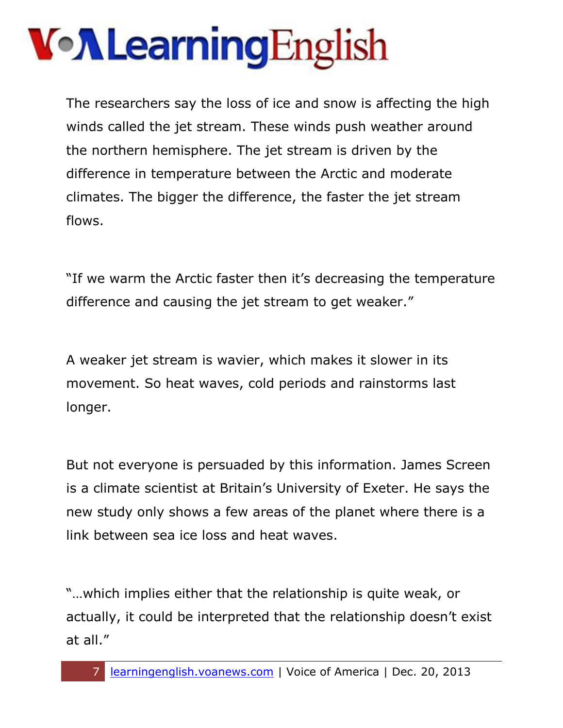The researchers say the loss of ice and snow is affecting the high winds called the jet stream. These winds push weather around the northern hemisphere. The jet stream is driven by the difference in temperature between the Arctic and moderate climates. The bigger the difference, the faster the jet stream flows.

"If we warm the Arctic faster then it's decreasing the temperature difference and causing the jet stream to get weaker."

A weaker jet stream is wavier, which makes it slower in its movement. So heat waves, cold periods and rainstorms last longer.

But not everyone is persuaded by this information. James Screen is a climate scientist at Britain's University of Exeter. He says the new study only shows a few areas of the planet where there is a link between sea ice loss and heat waves.

"…which implies either that the relationship is quite weak, or actually, it could be interpreted that the relationship doesn't exist at all."